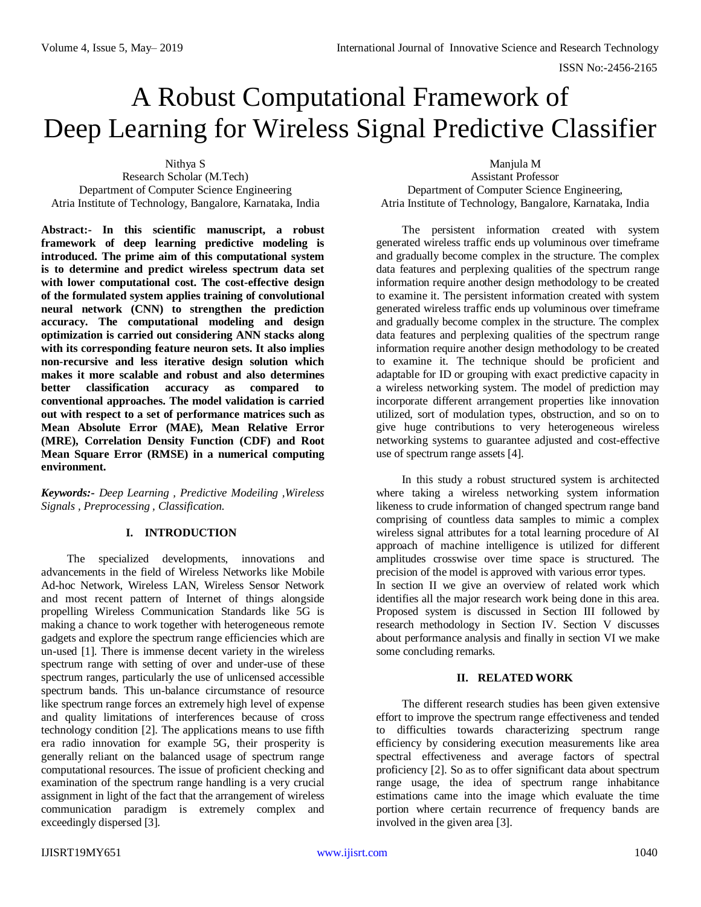# A Robust Computational Framework of Deep Learning for Wireless Signal Predictive Classifier

Nithya S

Research Scholar (M.Tech) Department of Computer Science Engineering Atria Institute of Technology, Bangalore, Karnataka, India

**Abstract:- In this scientific manuscript, a robust framework of deep learning predictive modeling is introduced. The prime aim of this computational system is to determine and predict wireless spectrum data set with lower computational cost. The cost-effective design of the formulated system applies training of convolutional neural network (CNN) to strengthen the prediction accuracy. The computational modeling and design optimization is carried out considering ANN stacks along with its corresponding feature neuron sets. It also implies non-recursive and less iterative design solution which makes it more scalable and robust and also determines better classification accuracy as compared to conventional approaches. The model validation is carried out with respect to a set of performance matrices such as Mean Absolute Error (MAE), Mean Relative Error (MRE), Correlation Density Function (CDF) and Root Mean Square Error (RMSE) in a numerical computing environment.**

*Keywords:- Deep Learning , Predictive Modeiling ,Wireless Signals , Preprocessing , Classification.*

# **I. INTRODUCTION**

The specialized developments, innovations and advancements in the field of Wireless Networks like Mobile Ad-hoc Network, Wireless LAN, Wireless Sensor Network and most recent pattern of Internet of things alongside propelling Wireless Communication Standards like 5G is making a chance to work together with heterogeneous remote gadgets and explore the spectrum range efficiencies which are un-used [1]. There is immense decent variety in the wireless spectrum range with setting of over and under-use of these spectrum ranges, particularly the use of unlicensed accessible spectrum bands. This un-balance circumstance of resource like spectrum range forces an extremely high level of expense and quality limitations of interferences because of cross technology condition [2]. The applications means to use fifth era radio innovation for example 5G, their prosperity is generally reliant on the balanced usage of spectrum range computational resources. The issue of proficient checking and examination of the spectrum range handling is a very crucial assignment in light of the fact that the arrangement of wireless communication paradigm is extremely complex and exceedingly dispersed [3].

Manjula M

Assistant Professor Department of Computer Science Engineering, Atria Institute of Technology, Bangalore, Karnataka, India

The persistent information created with system generated wireless traffic ends up voluminous over timeframe and gradually become complex in the structure. The complex data features and perplexing qualities of the spectrum range information require another design methodology to be created to examine it. The persistent information created with system generated wireless traffic ends up voluminous over timeframe and gradually become complex in the structure. The complex data features and perplexing qualities of the spectrum range information require another design methodology to be created to examine it. The technique should be proficient and adaptable for ID or grouping with exact predictive capacity in a wireless networking system. The model of prediction may incorporate different arrangement properties like innovation utilized, sort of modulation types, obstruction, and so on to give huge contributions to very heterogeneous wireless networking systems to guarantee adjusted and cost-effective use of spectrum range assets [4].

In this study a robust structured system is architected where taking a wireless networking system information likeness to crude information of changed spectrum range band comprising of countless data samples to mimic a complex wireless signal attributes for a total learning procedure of AI approach of machine intelligence is utilized for different amplitudes crosswise over time space is structured. The precision of the model is approved with various error types. In section II we give an overview of related work which identifies all the major research work being done in this area. Proposed system is discussed in Section III followed by research methodology in Section IV. Section V discusses about performance analysis and finally in section VI we make some concluding remarks.

# **II. RELATED WORK**

The different research studies has been given extensive effort to improve the spectrum range effectiveness and tended to difficulties towards characterizing spectrum range efficiency by considering execution measurements like area spectral effectiveness and average factors of spectral proficiency [2]. So as to offer significant data about spectrum range usage, the idea of spectrum range inhabitance estimations came into the image which evaluate the time portion where certain recurrence of frequency bands are involved in the given area [3].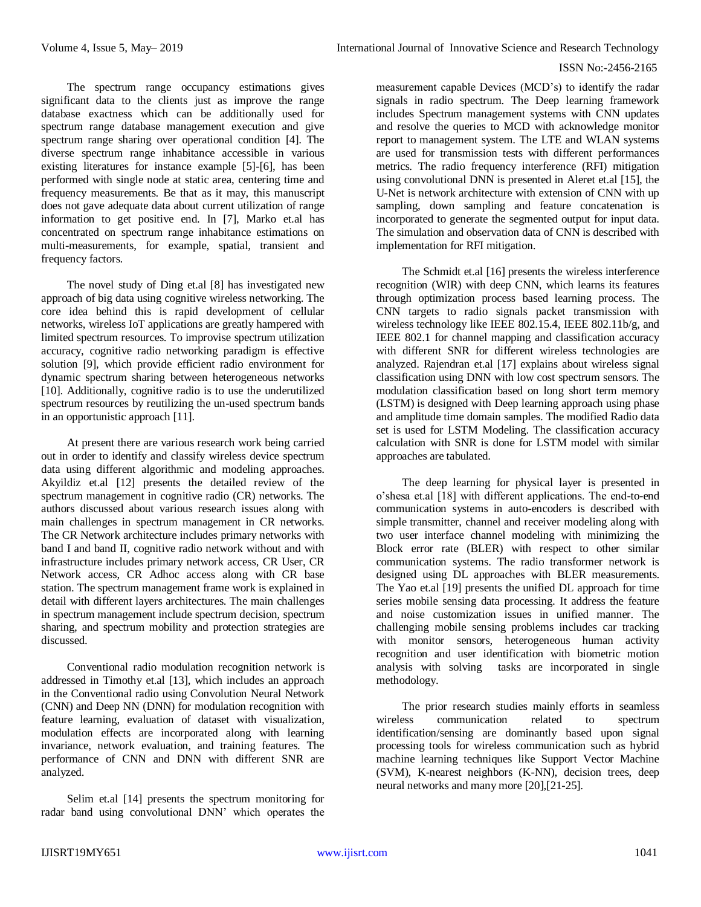The spectrum range occupancy estimations gives significant data to the clients just as improve the range database exactness which can be additionally used for spectrum range database management execution and give spectrum range sharing over operational condition [4]. The diverse spectrum range inhabitance accessible in various existing literatures for instance example [5]-[6], has been performed with single node at static area, centering time and frequency measurements. Be that as it may, this manuscript does not gave adequate data about current utilization of range information to get positive end. In [7], Marko et.al has concentrated on spectrum range inhabitance estimations on multi-measurements, for example, spatial, transient and frequency factors.

The novel study of Ding et.al [8] has investigated new approach of big data using cognitive wireless networking. The core idea behind this is rapid development of cellular networks, wireless IoT applications are greatly hampered with limited spectrum resources. To improvise spectrum utilization accuracy, cognitive radio networking paradigm is effective solution [9], which provide efficient radio environment for dynamic spectrum sharing between heterogeneous networks [10]. Additionally, cognitive radio is to use the underutilized spectrum resources by reutilizing the un-used spectrum bands in an opportunistic approach [11].

At present there are various research work being carried out in order to identify and classify wireless device spectrum data using different algorithmic and modeling approaches. Akyildiz et.al [12] presents the detailed review of the spectrum management in cognitive radio (CR) networks. The authors discussed about various research issues along with main challenges in spectrum management in CR networks. The CR Network architecture includes primary networks with band I and band II, cognitive radio network without and with infrastructure includes primary network access, CR User, CR Network access, CR Adhoc access along with CR base station. The spectrum management frame work is explained in detail with different layers architectures. The main challenges in spectrum management include spectrum decision, spectrum sharing, and spectrum mobility and protection strategies are discussed.

Conventional radio modulation recognition network is addressed in Timothy et.al [13], which includes an approach in the Conventional radio using Convolution Neural Network (CNN) and Deep NN (DNN) for modulation recognition with feature learning, evaluation of dataset with visualization, modulation effects are incorporated along with learning invariance, network evaluation, and training features. The performance of CNN and DNN with different SNR are analyzed.

Selim et.al [14] presents the spectrum monitoring for radar band using convolutional DNN' which operates the measurement capable Devices (MCD's) to identify the radar signals in radio spectrum. The Deep learning framework includes Spectrum management systems with CNN updates and resolve the queries to MCD with acknowledge monitor report to management system. The LTE and WLAN systems are used for transmission tests with different performances metrics. The radio frequency interference (RFI) mitigation using convolutional DNN is presented in Aleret et.al [15], the U-Net is network architecture with extension of CNN with up sampling, down sampling and feature concatenation is incorporated to generate the segmented output for input data. The simulation and observation data of CNN is described with implementation for RFI mitigation.

The Schmidt et.al [16] presents the wireless interference recognition (WIR) with deep CNN, which learns its features through optimization process based learning process. The CNN targets to radio signals packet transmission with wireless technology like IEEE 802.15.4, IEEE 802.11b/g, and IEEE 802.1 for channel mapping and classification accuracy with different SNR for different wireless technologies are analyzed. Rajendran et.al [17] explains about wireless signal classification using DNN with low cost spectrum sensors. The modulation classification based on long short term memory (LSTM) is designed with Deep learning approach using phase and amplitude time domain samples. The modified Radio data set is used for LSTM Modeling. The classification accuracy calculation with SNR is done for LSTM model with similar approaches are tabulated.

The deep learning for physical layer is presented in o'shesa et.al [18] with different applications. The end-to-end communication systems in auto-encoders is described with simple transmitter, channel and receiver modeling along with two user interface channel modeling with minimizing the Block error rate (BLER) with respect to other similar communication systems. The radio transformer network is designed using DL approaches with BLER measurements. The Yao et.al [19] presents the unified DL approach for time series mobile sensing data processing. It address the feature and noise customization issues in unified manner. The challenging mobile sensing problems includes car tracking with monitor sensors, heterogeneous human activity recognition and user identification with biometric motion analysis with solving tasks are incorporated in single methodology.

The prior research studies mainly efforts in seamless wireless communication related to spectrum identification/sensing are dominantly based upon signal processing tools for wireless communication such as hybrid machine learning techniques like Support Vector Machine (SVM), K-nearest neighbors (K-NN), decision trees, deep neural networks and many more [20],[21-25].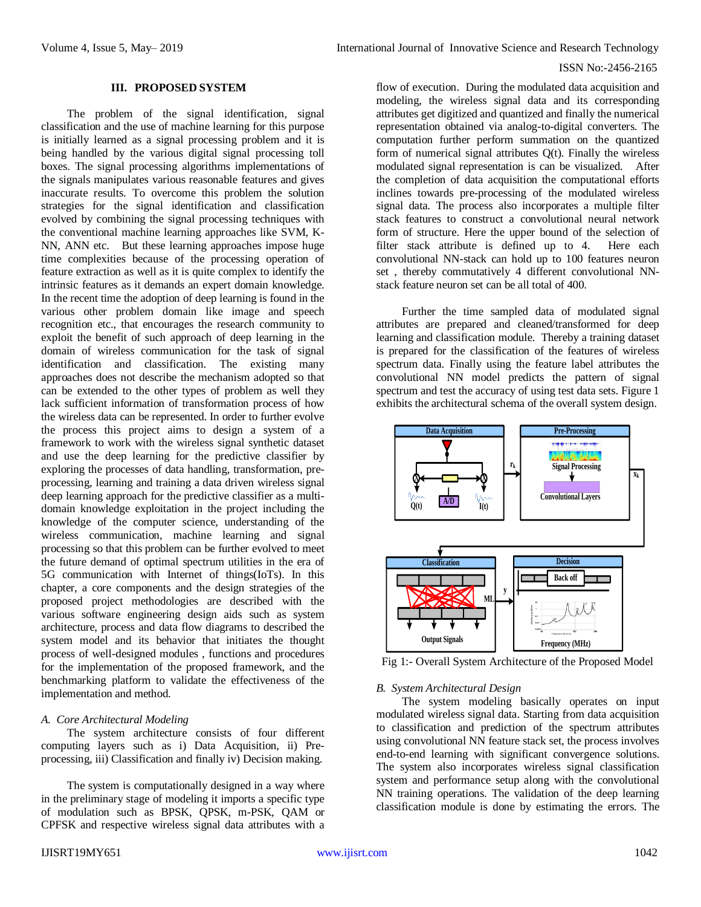# **III. PROPOSED SYSTEM**

The problem of the signal identification, signal classification and the use of machine learning for this purpose is initially learned as a signal processing problem and it is being handled by the various digital signal processing toll boxes. The signal processing algorithms implementations of the signals manipulates various reasonable features and gives inaccurate results. To overcome this problem the solution strategies for the signal identification and classification evolved by combining the signal processing techniques with the conventional machine learning approaches like SVM, K-NN, ANN etc. But these learning approaches impose huge time complexities because of the processing operation of feature extraction as well as it is quite complex to identify the intrinsic features as it demands an expert domain knowledge. In the recent time the adoption of deep learning is found in the various other problem domain like image and speech recognition etc., that encourages the research community to exploit the benefit of such approach of deep learning in the domain of wireless communication for the task of signal identification and classification. The existing many approaches does not describe the mechanism adopted so that can be extended to the other types of problem as well they lack sufficient information of transformation process of how the wireless data can be represented. In order to further evolve the process this project aims to design a system of a framework to work with the wireless signal synthetic dataset and use the deep learning for the predictive classifier by exploring the processes of data handling, transformation, preprocessing, learning and training a data driven wireless signal deep learning approach for the predictive classifier as a multidomain knowledge exploitation in the project including the knowledge of the computer science, understanding of the wireless communication, machine learning and signal processing so that this problem can be further evolved to meet the future demand of optimal spectrum utilities in the era of 5G communication with Internet of things(IoTs). In this chapter, a core components and the design strategies of the proposed project methodologies are described with the various software engineering design aids such as system architecture, process and data flow diagrams to described the system model and its behavior that initiates the thought process of well-designed modules , functions and procedures for the implementation of the proposed framework, and the benchmarking platform to validate the effectiveness of the implementation and method.

#### *A. Core Architectural Modeling*

The system architecture consists of four different computing layers such as i) Data Acquisition, ii) Preprocessing, iii) Classification and finally iv) Decision making.

The system is computationally designed in a way where in the preliminary stage of modeling it imports a specific type of modulation such as BPSK, QPSK, m-PSK, QAM or CPFSK and respective wireless signal data attributes with a flow of execution. During the modulated data acquisition and modeling, the wireless signal data and its corresponding attributes get digitized and quantized and finally the numerical representation obtained via analog-to-digital converters. The computation further perform summation on the quantized form of numerical signal attributes Q(t). Finally the wireless modulated signal representation is can be visualized. After the completion of data acquisition the computational efforts inclines towards pre-processing of the modulated wireless signal data. The process also incorporates a multiple filter stack features to construct a convolutional neural network form of structure. Here the upper bound of the selection of filter stack attribute is defined up to 4. Here each convolutional NN-stack can hold up to 100 features neuron set , thereby commutatively 4 different convolutional NNstack feature neuron set can be all total of 400.

Further the time sampled data of modulated signal attributes are prepared and cleaned/transformed for deep learning and classification module. Thereby a training dataset is prepared for the classification of the features of wireless spectrum data. Finally using the feature label attributes the convolutional NN model predicts the pattern of signal spectrum and test the accuracy of using test data sets. Figure 1 exhibits the architectural schema of the overall system design.



Fig 1:- Overall System Architecture of the Proposed Model

## *B. System Architectural Design*

The system modeling basically operates on input modulated wireless signal data. Starting from data acquisition to classification and prediction of the spectrum attributes using convolutional NN feature stack set, the process involves end-to-end learning with significant convergence solutions. The system also incorporates wireless signal classification system and performance setup along with the convolutional NN training operations. The validation of the deep learning classification module is done by estimating the errors. The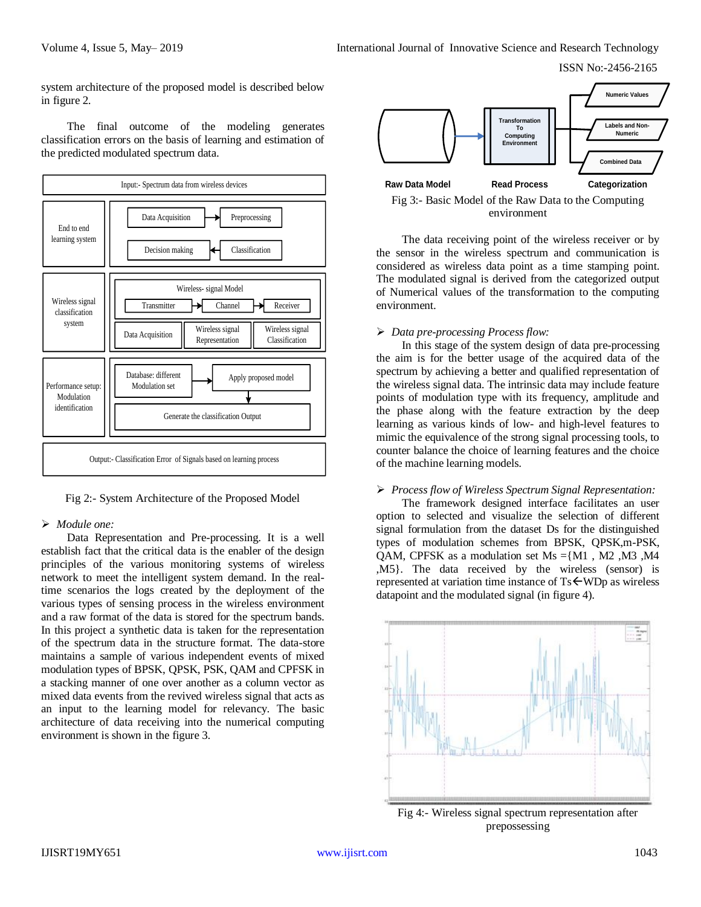ISSN No:-2456-2165

system architecture of the proposed model is described below in figure 2.

The final outcome of the modeling generates classification errors on the basis of learning and estimation of the predicted modulated spectrum data.



Fig 2:- System Architecture of the Proposed Model

#### *Module one:*

Data Representation and Pre-processing. It is a well establish fact that the critical data is the enabler of the design principles of the various monitoring systems of wireless network to meet the intelligent system demand. In the realtime scenarios the logs created by the deployment of the various types of sensing process in the wireless environment and a raw format of the data is stored for the spectrum bands. In this project a synthetic data is taken for the representation of the spectrum data in the structure format. The data-store maintains a sample of various independent events of mixed modulation types of BPSK, QPSK, PSK, QAM and CPFSK in a stacking manner of one over another as a column vector as mixed data events from the revived wireless signal that acts as an input to the learning model for relevancy. The basic architecture of data receiving into the numerical computing environment is shown in the figure 3.



Fig 3:- Basic Model of the Raw Data to the Computing environment

The data receiving point of the wireless receiver or by the sensor in the wireless spectrum and communication is considered as wireless data point as a time stamping point. The modulated signal is derived from the categorized output of Numerical values of the transformation to the computing environment.

## *Data pre-processing Process flow:*

In this stage of the system design of data pre-processing the aim is for the better usage of the acquired data of the spectrum by achieving a better and qualified representation of the wireless signal data. The intrinsic data may include feature points of modulation type with its frequency, amplitude and the phase along with the feature extraction by the deep learning as various kinds of low- and high-level features to mimic the equivalence of the strong signal processing tools, to counter balance the choice of learning features and the choice of the machine learning models.

## *Process flow of Wireless Spectrum Signal Representation:*

The framework designed interface facilitates an user option to selected and visualize the selection of different signal formulation from the dataset Ds for the distinguished types of modulation schemes from BPSK, QPSK,m-PSK, OAM, CPFSK as a modulation set  $Ms = \{M1, M2, M3, M4$ ,M5}. The data received by the wireless (sensor) is represented at variation time instance of  $Ts \leftarrow WDD$  as wireless datapoint and the modulated signal (in figure 4).



Fig 4:- Wireless signal spectrum representation after prepossessing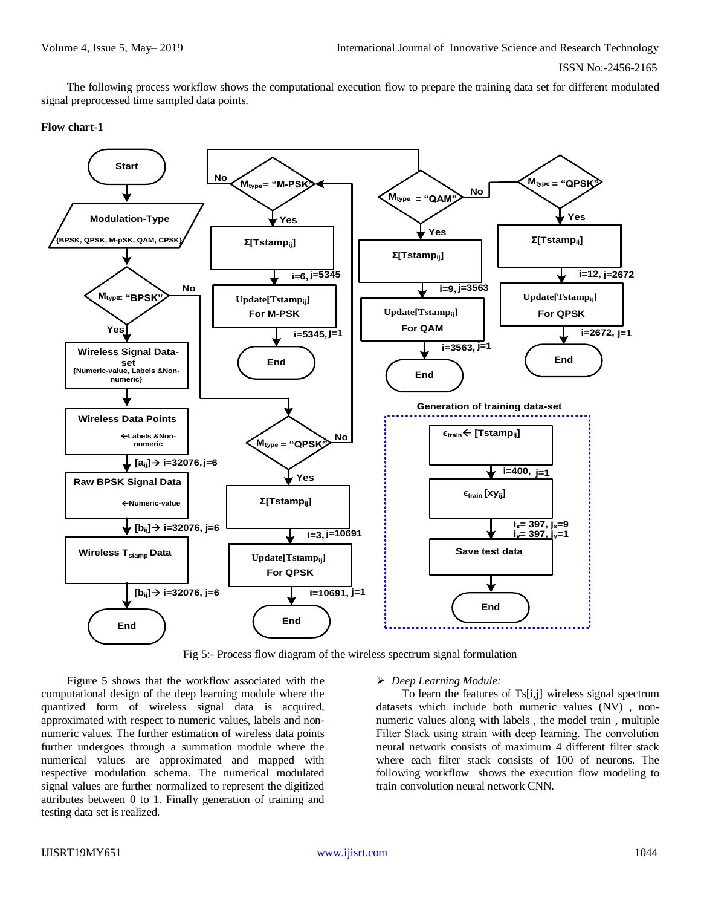The following process workflow shows the computational execution flow to prepare the training data set for different modulated signal preprocessed time sampled data points.

#### **Flow chart-1**



Fig 5:- Process flow diagram of the wireless spectrum signal formulation

Figure 5 shows that the workflow associated with the computational design of the deep learning module where the quantized form of wireless signal data is acquired, approximated with respect to numeric values, labels and nonnumeric values. The further estimation of wireless data points further undergoes through a summation module where the numerical values are approximated and mapped with respective modulation schema. The numerical modulated signal values are further normalized to represent the digitized attributes between 0 to 1. Finally generation of training and testing data set is realized.

#### *Deep Learning Module:*

To learn the features of Ts[i,j] wireless signal spectrum datasets which include both numeric values (NV) , nonnumeric values along with labels , the model train , multiple Filter Stack using εtrain with deep learning. The convolution neural network consists of maximum 4 different filter stack where each filter stack consists of 100 of neurons. The following workflow shows the execution flow modeling to train convolution neural network CNN.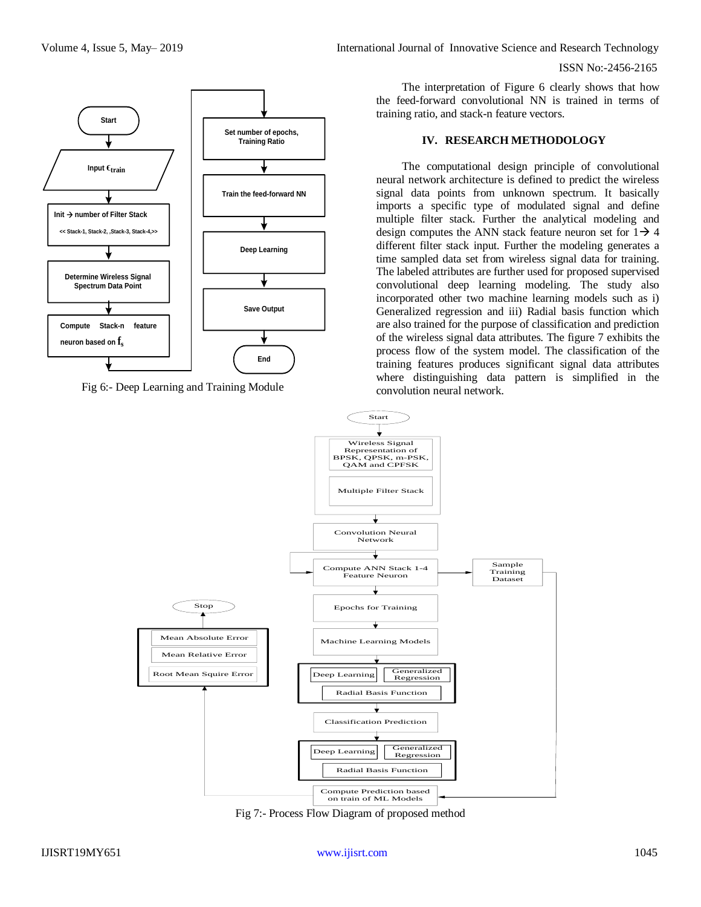

Fig 6:- Deep Learning and Training Module

The interpretation of Figure 6 clearly shows that how the feed-forward convolutional NN is trained in terms of training ratio, and stack-n feature vectors.

#### **IV. RESEARCH METHODOLOGY**

The computational design principle of convolutional neural network architecture is defined to predict the wireless signal data points from unknown spectrum. It basically imports a specific type of modulated signal and define multiple filter stack. Further the analytical modeling and design computes the ANN stack feature neuron set for  $1\rightarrow 4$ different filter stack input. Further the modeling generates a time sampled data set from wireless signal data for training. The labeled attributes are further used for proposed supervised convolutional deep learning modeling. The study also incorporated other two machine learning models such as i) Generalized regression and iii) Radial basis function which are also trained for the purpose of classification and prediction of the wireless signal data attributes. The figure 7 exhibits the process flow of the system model. The classification of the training features produces significant signal data attributes where distinguishing data pattern is simplified in the convolution neural network.



Fig 7:- Process Flow Diagram of proposed method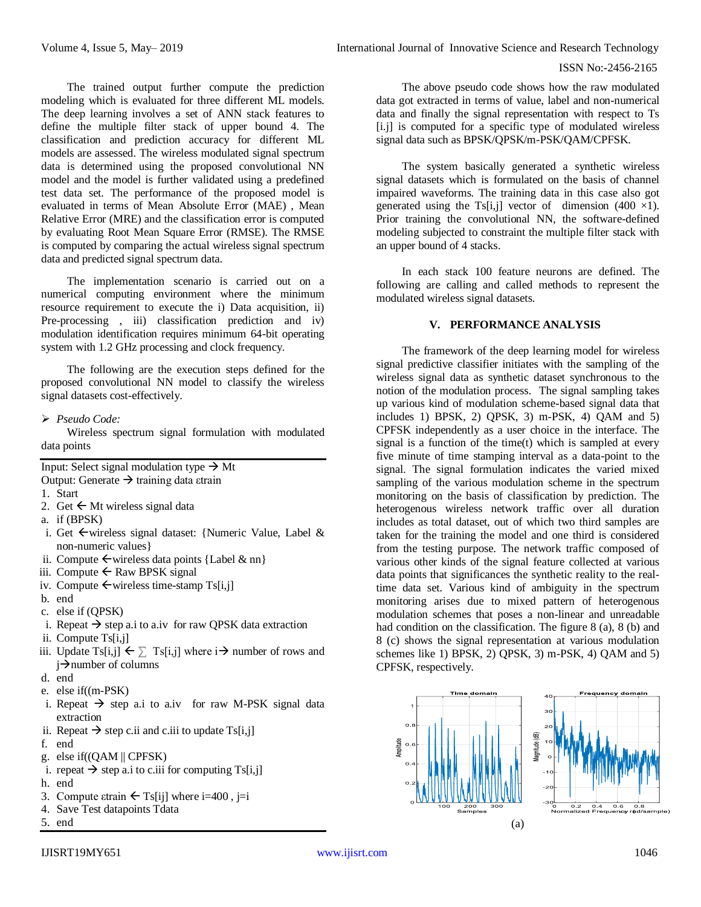The trained output further compute the prediction modeling which is evaluated for three different ML models. The deep learning involves a set of ANN stack features to define the multiple filter stack of upper bound 4. The classification and prediction accuracy for different ML models are assessed. The wireless modulated signal spectrum data is determined using the proposed convolutional NN model and the model is further validated using a predefined test data set. The performance of the proposed model is evaluated in terms of Mean Absolute Error (MAE) , Mean Relative Error (MRE) and the classification error is computed by evaluating Root Mean Square Error (RMSE). The RMSE is computed by comparing the actual wireless signal spectrum data and predicted signal spectrum data.

The implementation scenario is carried out on a numerical computing environment where the minimum resource requirement to execute the i) Data acquisition, ii) Pre-processing , iii) classification prediction and iv) modulation identification requires minimum 64-bit operating system with 1.2 GHz processing and clock frequency.

The following are the execution steps defined for the proposed convolutional NN model to classify the wireless signal datasets cost-effectively.

# *Pseudo Code:*

Wireless spectrum signal formulation with modulated data points

Input: Select signal modulation type  $\rightarrow$  Mt Output: Generate  $\rightarrow$  training data εtrain

1. Start

- 2. Get  $\leftarrow$  Mt wireless signal data
- a. if (BPSK)
- i. Get  $\leftarrow$  wireless signal dataset: {Numeric Value, Label & non-numeric values}
- ii. Compute  $\leftarrow$  wireless data points {Label & nn}
- iii. Compute  $\leftarrow$  Raw BPSK signal
- iv. Compute  $\leftarrow$  wireless time-stamp Ts[i,j]
- b. end
- c. else if (QPSK)
- i. Repeat  $\rightarrow$  step a.i to a.iv for raw QPSK data extraction
- ii. Compute Ts[i,j]
- iii. Update Ts[i,j]  $\leftarrow \sum$  Ts[i,j] where  $i \rightarrow$  number of rows and  $i\rightarrow$ number of columns
- d. end
- e. else if((m-PSK)
- i. Repeat  $\rightarrow$  step a.i to a.iv for raw M-PSK signal data extraction
- ii. Repeat  $\rightarrow$  step c.ii and c.iii to update Ts[i,j]
- f. end
- g. else if((QAM || CPFSK)
- i. repeat  $\rightarrow$  step a.i to c.iii for computing Ts[i,j]
- h. end
- 3. Compute  $\text{strain} \leftarrow \text{Ts[i]}$  where i=400, j=i
- 4. Save Test datapoints Tdata
- 5. end

The system basically generated a synthetic wireless signal datasets which is formulated on the basis of channel impaired waveforms. The training data in this case also got generated using the Ts[i,j] vector of dimension (400  $\times$ 1). Prior training the convolutional NN, the software-defined modeling subjected to constraint the multiple filter stack with an upper bound of 4 stacks.

In each stack 100 feature neurons are defined. The following are calling and called methods to represent the modulated wireless signal datasets.

# **V. PERFORMANCE ANALYSIS**

The framework of the deep learning model for wireless signal predictive classifier initiates with the sampling of the wireless signal data as synthetic dataset synchronous to the notion of the modulation process. The signal sampling takes up various kind of modulation scheme-based signal data that includes 1) BPSK, 2) QPSK, 3) m-PSK, 4) QAM and 5) CPFSK independently as a user choice in the interface. The signal is a function of the time(t) which is sampled at every five minute of time stamping interval as a data-point to the signal. The signal formulation indicates the varied mixed sampling of the various modulation scheme in the spectrum monitoring on the basis of classification by prediction. The heterogenous wireless network traffic over all duration includes as total dataset, out of which two third samples are taken for the training the model and one third is considered from the testing purpose. The network traffic composed of various other kinds of the signal feature collected at various data points that significances the synthetic reality to the realtime data set. Various kind of ambiguity in the spectrum monitoring arises due to mixed pattern of heterogenous modulation schemes that poses a non-linear and unreadable had condition on the classification. The figure 8 (a), 8 (b) and 8 (c) shows the signal representation at various modulation schemes like 1) BPSK, 2) QPSK, 3) m-PSK, 4) QAM and 5) CPFSK, respectively.



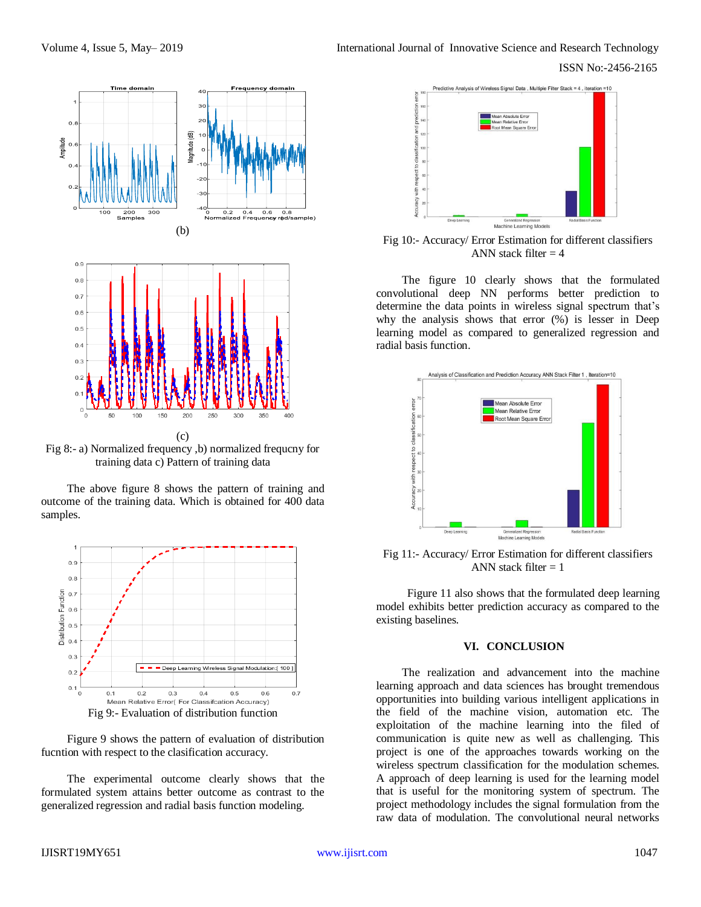

Fig 8:- a) Normalized frequency ,b) normalized frequcny for training data c) Pattern of training data

The above figure 8 shows the pattern of training and outcome of the training data. Which is obtained for 400 data samples.



Figure 9 shows the pattern of evaluation of distribution fucntion with respect to the clasification accuracy.

The experimental outcome clearly shows that the formulated system attains better outcome as contrast to the generalized regression and radial basis function modeling.



Fig 10:- Accuracy/ Error Estimation for different classifiers ANN stack filter  $= 4$ 

The figure 10 clearly shows that the formulated convolutional deep NN performs better prediction to determine the data points in wireless signal spectrum that's why the analysis shows that error (%) is lesser in Deep learning model as compared to generalized regression and radial basis function.



Fig 11:- Accuracy/ Error Estimation for different classifiers ANN stack filter  $= 1$ 

Figure 11 also shows that the formulated deep learning model exhibits better prediction accuracy as compared to the existing baselines.

#### **VI. CONCLUSION**

The realization and advancement into the machine learning approach and data sciences has brought tremendous opportunities into building various intelligent applications in the field of the machine vision, automation etc. The exploitation of the machine learning into the filed of communication is quite new as well as challenging. This project is one of the approaches towards working on the wireless spectrum classification for the modulation schemes. A approach of deep learning is used for the learning model that is useful for the monitoring system of spectrum. The project methodology includes the signal formulation from the raw data of modulation. The convolutional neural networks